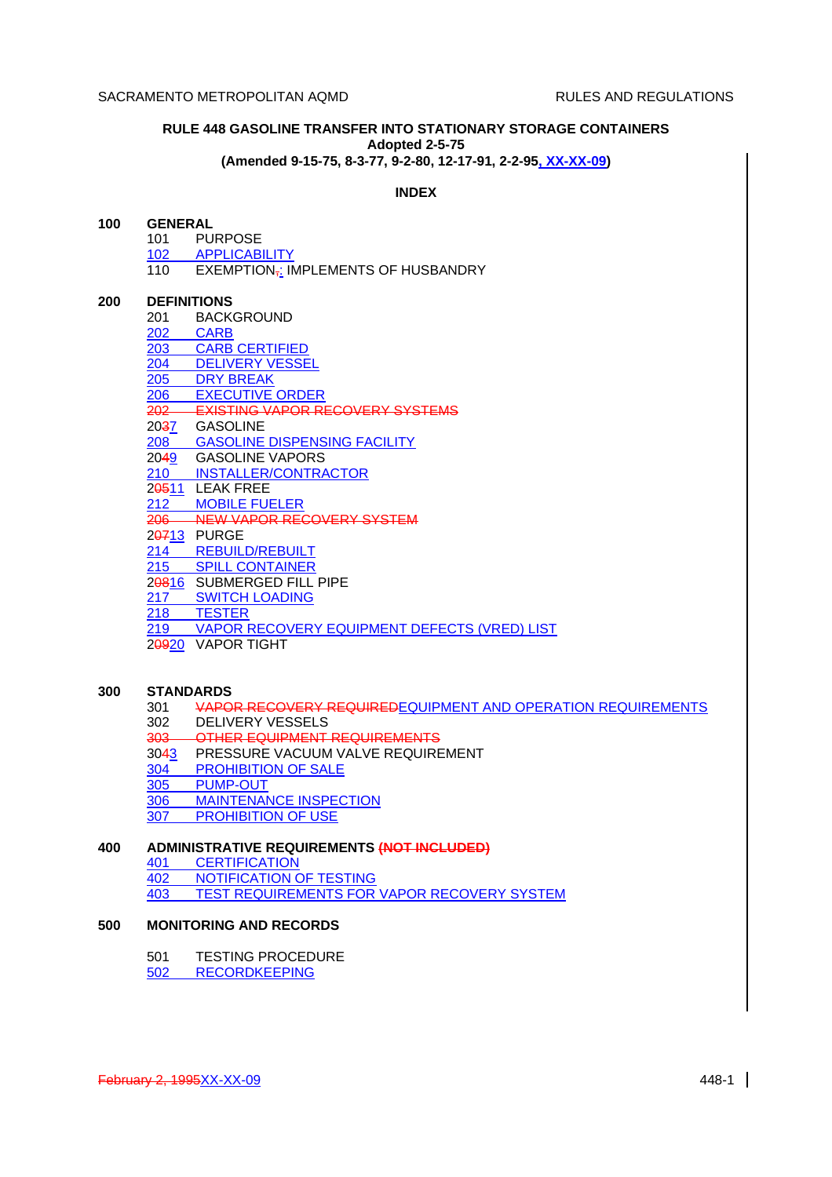# **RULE 448 GASOLINE TRANSFER INTO STATIONARY STORAGE CONTAINERS Adopted 2-5-75**

# **(Amended 9-15-75, 8-3-77, 9-2-80, 12-17-91, 2-2-95, XX-XX-09)**

## **INDEX**

## **100 GENERAL**

- 101 PURPOSE
- 102 APPLICABILITY<br>110 EXEMPTION-: IN
	- **EXEMPTION,: IMPLEMENTS OF HUSBANDRY**

#### **200 DEFINITIONS**

- 201 BACKGROUND
- 202 CARB
- 203 CARB CERTIFIED
- 204 DELIVERY VESSEL
- 205 DRY BREAK
- 206 EXECUTIVE ORDER<br>202 EXISTING VAPOR RI **EXISTING VAPOR RECOVERY SYSTEMS**
- 2037 GASOLINE
- 208 GASOLINE DISPENSING FACILITY
- 2049 GASOLINE VAPORS
- 210 INSTALLER/CONTRACTOR
- 20511 LEAK FREE
- 212 MOBILE FUELER
- 206 NEW VAPOR RECOVERY SYSTEM
- 20713 PURGE
- 214 REBUILD/REBUILT
- 215 SPILL CONTAINER
- 20816 SUBMERGED FILL PIPE
- **SWITCH LOADING**
- 217 SWITCH<br>
218 TESTER<br>
219 VAPORT VAPOR RECOVERY EQUIPMENT DEFECTS (VRED) LIST
- 20920 VAPOR TIGHT

## **300 STANDARDS**

- 301 VAPOR RECOVERY REQUIREDEQUIPMENT AND OPERATION REQUIREMENTS
- 302 DELIVERY VESSELS
- 303 OTHER EQUIPMENT REQUIREMENTS
- 3043 PRESSURE VACUUM VALVE REQUIREMENT
- 304 PROHIBITION OF SALE
- 305 PUMP-OUT 306 MAINTENANCE INSPECTION
- 307 PROHIBITION OF USE

## **400 ADMINISTRATIVE REQUIREMENTS (NOT INCLUDED)**

401 CERTIFICATION<br>402 NOTIFICATION O **NOTIFICATION OF TESTING** 403 TEST REQUIREMENTS FOR VAPOR RECOVERY SYSTEM

## **500 MONITORING AND RECORDS**

501 TESTING PROCEDURE 502 RECORDKEEPING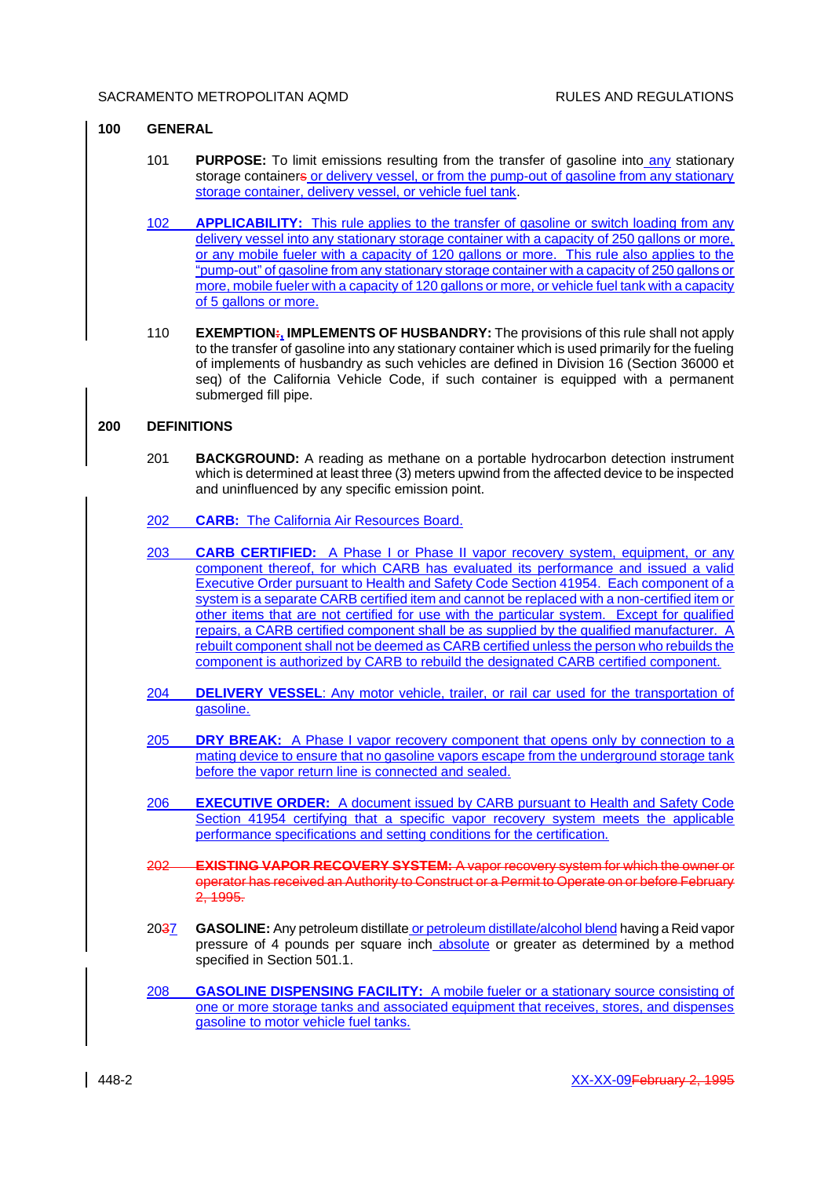## **100 GENERAL**

- 101 **PURPOSE:** To limit emissions resulting from the transfer of gasoline into any stationary storage containers or delivery vessel, or from the pump-out of gasoline from any stationary storage container, delivery vessel, or vehicle fuel tank.
- 102 **APPLICABILITY:** This rule applies to the transfer of gasoline or switch loading from any delivery vessel into any stationary storage container with a capacity of 250 gallons or more, or any mobile fueler with a capacity of 120 gallons or more. This rule also applies to the "pump-out" of gasoline from any stationary storage container with a capacity of 250 gallons or more, mobile fueler with a capacity of 120 gallons or more, or vehicle fuel tank with a capacity of 5 gallons or more.
- 110 **EXEMPTION:, IMPLEMENTS OF HUSBANDRY:** The provisions of this rule shall not apply to the transfer of gasoline into any stationary container which is used primarily for the fueling of implements of husbandry as such vehicles are defined in Division 16 (Section 36000 et seq) of the California Vehicle Code, if such container is equipped with a permanent submerged fill pipe.

## **200 DEFINITIONS**

- 201 **BACKGROUND:** A reading as methane on a portable hydrocarbon detection instrument which is determined at least three (3) meters upwind from the affected device to be inspected and uninfluenced by any specific emission point.
- 202 **CARB:** The California Air Resources Board.
- 203 **CARB CERTIFIED:** A Phase I or Phase II vapor recovery system, equipment, or any component thereof, for which CARB has evaluated its performance and issued a valid Executive Order pursuant to Health and Safety Code Section 41954. Each component of a system is a separate CARB certified item and cannot be replaced with a non-certified item or other items that are not certified for use with the particular system. Except for qualified repairs, a CARB certified component shall be as supplied by the qualified manufacturer. A rebuilt component shall not be deemed as CARB certified unless the person who rebuilds the component is authorized by CARB to rebuild the designated CARB certified component.
- 204 **DELIVERY VESSEL**: Any motor vehicle, trailer, or rail car used for the transportation of gasoline.
- 205 **DRY BREAK:** A Phase I vapor recovery component that opens only by connection to a mating device to ensure that no gasoline vapors escape from the underground storage tank before the vapor return line is connected and sealed.
- 206 **EXECUTIVE ORDER:** A document issued by CARB pursuant to Health and Safety Code Section 41954 certifying that a specific vapor recovery system meets the applicable performance specifications and setting conditions for the certification.
- **EXISTING VAPOR RECOVERY SYSTEM:** A vapor recovery system for which the owner or operator has received an Authority to Construct or a Permit to Operate on or before February  $2, 1995.$
- 2037 **GASOLINE:** Any petroleum distillate or petroleum distillate/alcohol blend having a Reid vapor pressure of 4 pounds per square inch absolute or greater as determined by a method specified in Section 501.1.
- 208 **GASOLINE DISPENSING FACILITY:** A mobile fueler or a stationary source consisting of one or more storage tanks and associated equipment that receives, stores, and dispenses gasoline to motor vehicle fuel tanks.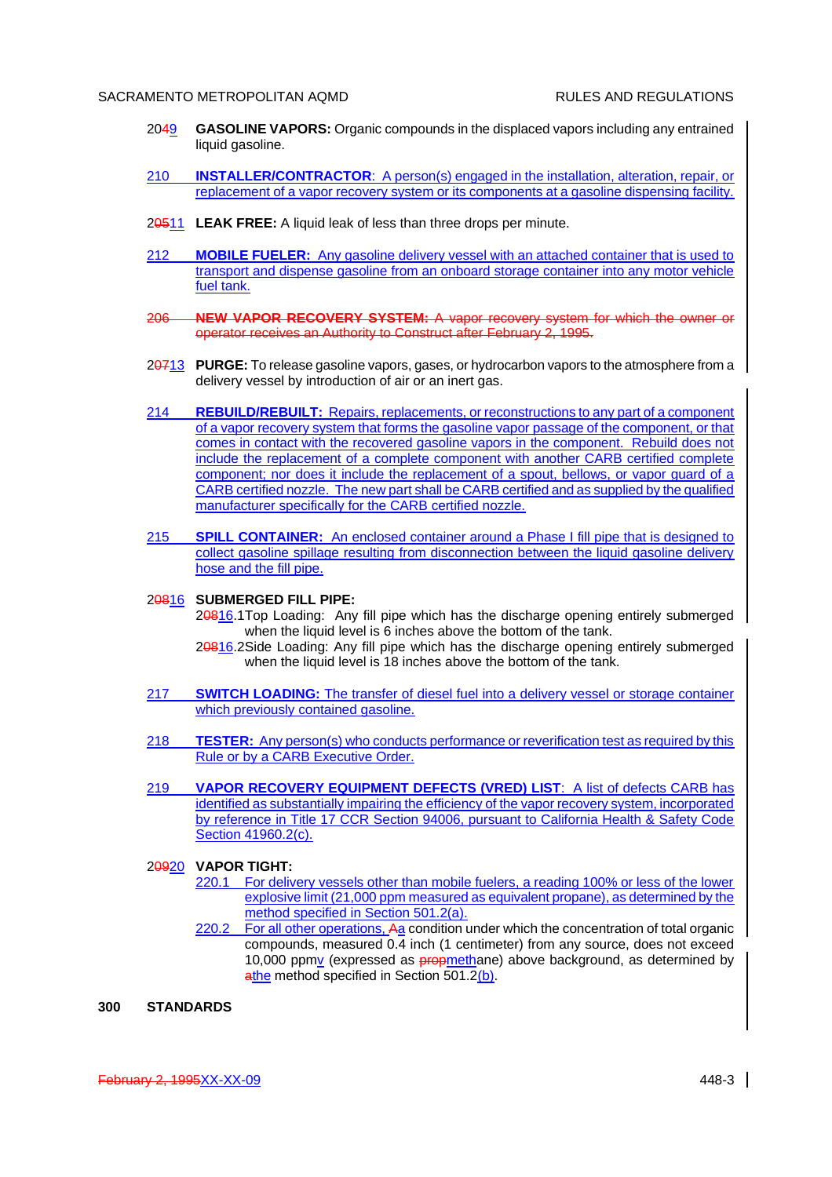- 2049 **GASOLINE VAPORS:** Organic compounds in the displaced vapors including any entrained liquid gasoline.
- 210 **INSTALLER/CONTRACTOR**: A person(s) engaged in the installation, alteration, repair, or replacement of a vapor recovery system or its components at a gasoline dispensing facility.
- 20511 **LEAK FREE:** A liquid leak of less than three drops per minute.
- 212 **MOBILE FUELER:** Any gasoline delivery vessel with an attached container that is used to transport and dispense gasoline from an onboard storage container into any motor vehicle fuel tank.
- 206 **NEW VAPOR RECOVERY SYSTEM:** A vapor recovery system for which the owner or operator receives an Authority to Construct after February 2, 1995.
- 20713 **PURGE:** To release gasoline vapors, gases, or hydrocarbon vapors to the atmosphere from a delivery vessel by introduction of air or an inert gas.
- 214 **REBUILD/REBUILT:** Repairs, replacements, or reconstructions to any part of a component of a vapor recovery system that forms the gasoline vapor passage of the component, or that comes in contact with the recovered gasoline vapors in the component. Rebuild does not include the replacement of a complete component with another CARB certified complete component; nor does it include the replacement of a spout, bellows, or vapor guard of a CARB certified nozzle. The new part shall be CARB certified and as supplied by the qualified manufacturer specifically for the CARB certified nozzle.
- 215 **SPILL CONTAINER:** An enclosed container around a Phase I fill pipe that is designed to collect gasoline spillage resulting from disconnection between the liquid gasoline delivery hose and the fill pipe.

#### 20816 **SUBMERGED FILL PIPE:**

20816.1Top Loading: Any fill pipe which has the discharge opening entirely submerged when the liquid level is 6 inches above the bottom of the tank.

- 20816.2Side Loading: Any fill pipe which has the discharge opening entirely submerged when the liquid level is 18 inches above the bottom of the tank.
- 217 **SWITCH LOADING:** The transfer of diesel fuel into a delivery vessel or storage container which previously contained gasoline.
- 218 **TESTER:** Any person(s) who conducts performance or reverification test as required by this Rule or by a CARB Executive Order.
- 219 **VAPOR RECOVERY EQUIPMENT DEFECTS (VRED) LIST**: A list of defects CARB has identified as substantially impairing the efficiency of the vapor recovery system, incorporated by reference in Title 17 CCR Section 94006, pursuant to California Health & Safety Code Section 41960.2(c).

## 20920 **VAPOR TIGHT:**

- 220.1 For delivery vessels other than mobile fuelers, a reading 100% or less of the lower explosive limit (21,000 ppm measured as equivalent propane), as determined by the method specified in Section 501.2(a).
- 220.2 For all other operations, Aa condition under which the concentration of total organic compounds, measured 0.4 inch (1 centimeter) from any source, does not exceed 10,000 ppmv (expressed as **propmethane**) above background, as determined by athe method specified in Section 501.2(b).

## **300 STANDARDS**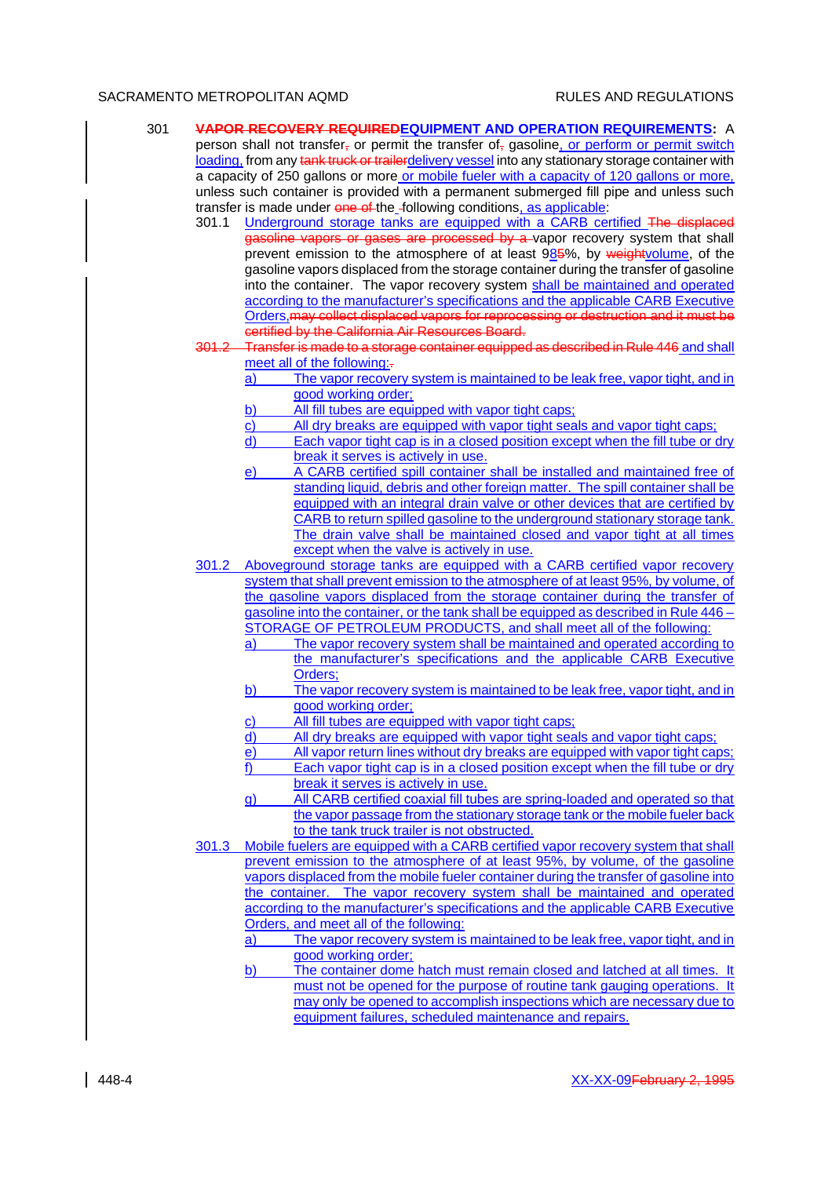- 301 **VAPOR RECOVERY REQUIREDEQUIPMENT AND OPERATION REQUIREMENTS:** A person shall not transfer<sub>r</sub> or permit the transfer of  $\frac{1}{2}$  gasoline, or perform or permit switch loading, from any tank truck or trailerdelivery vessel into any stationary storage container with a capacity of 250 gallons or more or mobile fueler with a capacity of 120 gallons or more, unless such container is provided with a permanent submerged fill pipe and unless such transfer is made under one of the -following conditions, as applicable:
	- 301.1 Underground storage tanks are equipped with a CARB certified The displaced gasoline vapors or gases are processed by a vapor recovery system that shall prevent emission to the atmosphere of at least 985%, by weightvolume, of the gasoline vapors displaced from the storage container during the transfer of gasoline into the container. The vapor recovery system shall be maintained and operated according to the manufacturer's specifications and the applicable CARB Executive Orders,may collect displaced vapors for reprocessing or destruction and it must be certified by the California Air Resources Board.
	- 301.2 Transfer is made to a storage container equipped as described in Rule 446 and shall meet all of the following:
		- a) The vapor recovery system is maintained to be leak free, vapor tight, and in good working order;
		- b) All fill tubes are equipped with vapor tight caps;<br>c) All dry breaks are equipped with vapor tight sea
		- All dry breaks are equipped with vapor tight seals and vapor tight caps;
		- d) Each vapor tight cap is in a closed position except when the fill tube or dry break it serves is actively in use.
		- e) A CARB certified spill container shall be installed and maintained free of standing liquid, debris and other foreign matter. The spill container shall be equipped with an integral drain valve or other devices that are certified by CARB to return spilled gasoline to the underground stationary storage tank. The drain valve shall be maintained closed and vapor tight at all times except when the valve is actively in use.
	- 301.2 Aboveground storage tanks are equipped with a CARB certified vapor recovery system that shall prevent emission to the atmosphere of at least 95%, by volume, of the gasoline vapors displaced from the storage container during the transfer of gasoline into the container, or the tank shall be equipped as described in Rule 446 – STORAGE OF PETROLEUM PRODUCTS, and shall meet all of the following:
		- a) The vapor recovery system shall be maintained and operated according to the manufacturer's specifications and the applicable CARB Executive Orders;
		- b) The vapor recovery system is maintained to be leak free, vapor tight, and in good working order;
		- c) All fill tubes are equipped with vapor tight caps;
		- d) All dry breaks are equipped with vapor tight seals and vapor tight caps;<br>e) All vapor return lines without dry breaks are equipped with vapor tight cap
		- All vapor return lines without dry breaks are equipped with vapor tight caps;
		- f) Each vapor tight cap is in a closed position except when the fill tube or dry break it serves is actively in use.
		- g) All CARB certified coaxial fill tubes are spring-loaded and operated so that the vapor passage from the stationary storage tank or the mobile fueler back to the tank truck trailer is not obstructed.
	- 301.3 Mobile fuelers are equipped with a CARB certified vapor recovery system that shall prevent emission to the atmosphere of at least 95%, by volume, of the gasoline vapors displaced from the mobile fueler container during the transfer of gasoline into the container. The vapor recovery system shall be maintained and operated according to the manufacturer's specifications and the applicable CARB Executive Orders, and meet all of the following:
		- a) The vapor recovery system is maintained to be leak free, vapor tight, and in good working order;
		- b) The container dome hatch must remain closed and latched at all times. It must not be opened for the purpose of routine tank gauging operations. It may only be opened to accomplish inspections which are necessary due to equipment failures, scheduled maintenance and repairs.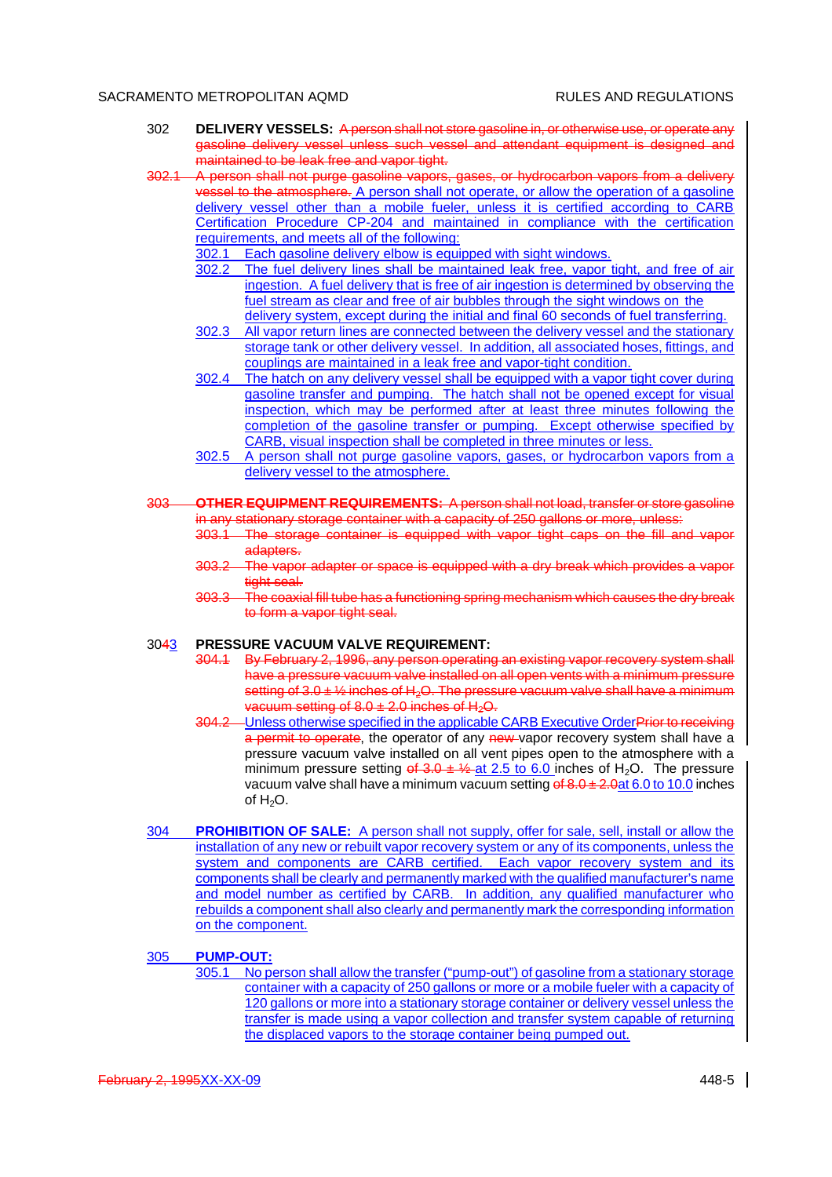- 302 **DELIVERY VESSELS:** A person shall not store gasoline in, or otherwise use, or operate any gasoline delivery vessel unless such vessel and attendant equipment is designed and maintained to be leak free and vapor tight.
- 302.1 A person shall not purge gasoline vapors, gases, or hydrocarbon vapors from a delivery vessel to the atmosphere. A person shall not operate, or allow the operation of a gasoline delivery vessel other than a mobile fueler, unless it is certified according to CARB Certification Procedure CP-204 and maintained in compliance with the certification requirements, and meets all of the following:
	- 302.1 Each gasoline delivery elbow is equipped with sight windows.<br>302.2 The fuel delivery lines shall be maintained leak free, vapor
	- The fuel delivery lines shall be maintained leak free, vapor tight, and free of air ingestion. A fuel delivery that is free of air ingestion is determined by observing the fuel stream as clear and free of air bubbles through the sight windows on the delivery system, except during the initial and final 60 seconds of fuel transferring.
	- 302.3 All vapor return lines are connected between the delivery vessel and the stationary storage tank or other delivery vessel. In addition, all associated hoses, fittings, and couplings are maintained in a leak free and vapor-tight condition.
	- 302.4 The hatch on any delivery vessel shall be equipped with a vapor tight cover during gasoline transfer and pumping. The hatch shall not be opened except for visual inspection, which may be performed after at least three minutes following the completion of the gasoline transfer or pumping. Except otherwise specified by CARB, visual inspection shall be completed in three minutes or less.
	- 302.5 A person shall not purge gasoline vapors, gases, or hydrocarbon vapors from a delivery vessel to the atmosphere.
- 303 **OTHER EQUIPMENT REQUIREMENTS:** A person shall not load, transfer or store gasoline in any stationary storage container with a capacity of 250 gallons or more, unless:
	- 303.1 The storage container is equipped with vapor tight caps on the fill and vapor adapters.
	- 303.2 The vapor adapter or space is equipped with a dry break which provides a vapor tight seal.
	- 303.3 The coaxial fill tube has a functioning spring mechanism which causes the dry break to form a vapor tight seal.

## 3043 **PRESSURE VACUUM VALVE REQUIREMENT:**

- 304.1 By February 2, 1996, any person operating an existing vapor recovery system shall have a pressure vacuum valve installed on all open vents with a minimum pressure setting of  $3.0 \pm \frac{1}{2}$  inches of H<sub>2</sub>O. The pressure vacuum valve shall have a minimum vacuum setting of  $8.0 \pm 2.0$  inches of  $H_2\Omega$ .
- 304.2 Unless otherwise specified in the applicable CARB Executive OrderPrior to receiving a permit to operate, the operator of any new vapor recovery system shall have a pressure vacuum valve installed on all vent pipes open to the atmosphere with a minimum pressure setting of  $3.0 + \frac{1}{2}$  at 2.5 to 6.0 inches of H<sub>2</sub>O. The pressure vacuum valve shall have a minimum vacuum setting  $\theta$   $\theta$   $\theta$   $\pm$  2.0at 6.0 to 10.0 inches of  $H_2O$ .
- 304 **PROHIBITION OF SALE:** A person shall not supply, offer for sale, sell, install or allow the installation of any new or rebuilt vapor recovery system or any of its components, unless the system and components are CARB certified. Each vapor recovery system and its components shall be clearly and permanently marked with the qualified manufacturer's name and model number as certified by CARB. In addition, any qualified manufacturer who rebuilds a component shall also clearly and permanently mark the corresponding information on the component.

## 305 **PUMP-OUT:**

305.1 No person shall allow the transfer ("pump-out") of gasoline from a stationary storage container with a capacity of 250 gallons or more or a mobile fueler with a capacity of 120 gallons or more into a stationary storage container or delivery vessel unless the transfer is made using a vapor collection and transfer system capable of returning the displaced vapors to the storage container being pumped out.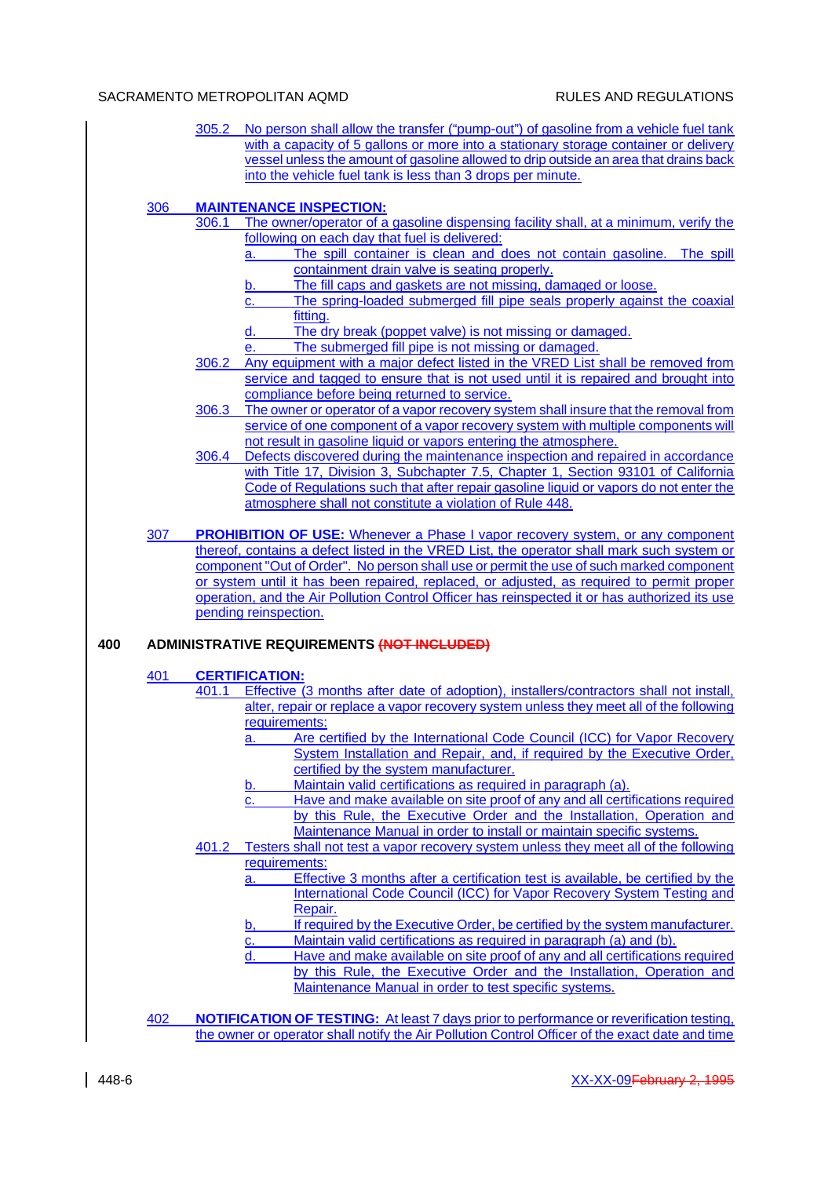## SACRAMENTO METROPOLITAN AQMD RULES AND REGULATIONS

|     |                                                                                            | 305.2 No person shall allow the transfer ("pump-out") of gasoline from a vehicle fuel tank                                                                                                                                                                                                                                                                                                                                                                                                                                                                                                                                                                                                                                                                                                                                                                                                                                                                                                                                                                                                                                                                                                                                                                                                                                                                                                                                                                                                      |  |
|-----|--------------------------------------------------------------------------------------------|-------------------------------------------------------------------------------------------------------------------------------------------------------------------------------------------------------------------------------------------------------------------------------------------------------------------------------------------------------------------------------------------------------------------------------------------------------------------------------------------------------------------------------------------------------------------------------------------------------------------------------------------------------------------------------------------------------------------------------------------------------------------------------------------------------------------------------------------------------------------------------------------------------------------------------------------------------------------------------------------------------------------------------------------------------------------------------------------------------------------------------------------------------------------------------------------------------------------------------------------------------------------------------------------------------------------------------------------------------------------------------------------------------------------------------------------------------------------------------------------------|--|
|     |                                                                                            | with a capacity of 5 gallons or more into a stationary storage container or delivery                                                                                                                                                                                                                                                                                                                                                                                                                                                                                                                                                                                                                                                                                                                                                                                                                                                                                                                                                                                                                                                                                                                                                                                                                                                                                                                                                                                                            |  |
|     |                                                                                            | vessel unless the amount of gasoline allowed to drip outside an area that drains back                                                                                                                                                                                                                                                                                                                                                                                                                                                                                                                                                                                                                                                                                                                                                                                                                                                                                                                                                                                                                                                                                                                                                                                                                                                                                                                                                                                                           |  |
|     |                                                                                            | into the vehicle fuel tank is less than 3 drops per minute.                                                                                                                                                                                                                                                                                                                                                                                                                                                                                                                                                                                                                                                                                                                                                                                                                                                                                                                                                                                                                                                                                                                                                                                                                                                                                                                                                                                                                                     |  |
| 306 |                                                                                            | <b>MAINTENANCE INSPECTION:</b>                                                                                                                                                                                                                                                                                                                                                                                                                                                                                                                                                                                                                                                                                                                                                                                                                                                                                                                                                                                                                                                                                                                                                                                                                                                                                                                                                                                                                                                                  |  |
|     | 306.1                                                                                      | The owner/operator of a gasoline dispensing facility shall, at a minimum, verify the                                                                                                                                                                                                                                                                                                                                                                                                                                                                                                                                                                                                                                                                                                                                                                                                                                                                                                                                                                                                                                                                                                                                                                                                                                                                                                                                                                                                            |  |
|     |                                                                                            | following on each day that fuel is delivered:                                                                                                                                                                                                                                                                                                                                                                                                                                                                                                                                                                                                                                                                                                                                                                                                                                                                                                                                                                                                                                                                                                                                                                                                                                                                                                                                                                                                                                                   |  |
|     |                                                                                            | The spill container is clean and does not contain gasoline. The spill<br>a.                                                                                                                                                                                                                                                                                                                                                                                                                                                                                                                                                                                                                                                                                                                                                                                                                                                                                                                                                                                                                                                                                                                                                                                                                                                                                                                                                                                                                     |  |
|     |                                                                                            | containment drain valve is seating properly.                                                                                                                                                                                                                                                                                                                                                                                                                                                                                                                                                                                                                                                                                                                                                                                                                                                                                                                                                                                                                                                                                                                                                                                                                                                                                                                                                                                                                                                    |  |
|     |                                                                                            | The fill caps and gaskets are not missing, damaged or loose.<br>b.                                                                                                                                                                                                                                                                                                                                                                                                                                                                                                                                                                                                                                                                                                                                                                                                                                                                                                                                                                                                                                                                                                                                                                                                                                                                                                                                                                                                                              |  |
|     |                                                                                            | The spring-loaded submerged fill pipe seals properly against the coaxial<br>C.                                                                                                                                                                                                                                                                                                                                                                                                                                                                                                                                                                                                                                                                                                                                                                                                                                                                                                                                                                                                                                                                                                                                                                                                                                                                                                                                                                                                                  |  |
|     |                                                                                            | fitting.                                                                                                                                                                                                                                                                                                                                                                                                                                                                                                                                                                                                                                                                                                                                                                                                                                                                                                                                                                                                                                                                                                                                                                                                                                                                                                                                                                                                                                                                                        |  |
|     |                                                                                            | The dry break (poppet valve) is not missing or damaged.<br>d.                                                                                                                                                                                                                                                                                                                                                                                                                                                                                                                                                                                                                                                                                                                                                                                                                                                                                                                                                                                                                                                                                                                                                                                                                                                                                                                                                                                                                                   |  |
|     |                                                                                            | The submerged fill pipe is not missing or damaged.<br>е.<br>Any equipment with a major defect listed in the VRED List shall be removed from                                                                                                                                                                                                                                                                                                                                                                                                                                                                                                                                                                                                                                                                                                                                                                                                                                                                                                                                                                                                                                                                                                                                                                                                                                                                                                                                                     |  |
|     | 306.2                                                                                      | service and tagged to ensure that is not used until it is repaired and brought into                                                                                                                                                                                                                                                                                                                                                                                                                                                                                                                                                                                                                                                                                                                                                                                                                                                                                                                                                                                                                                                                                                                                                                                                                                                                                                                                                                                                             |  |
|     |                                                                                            | compliance before being returned to service.                                                                                                                                                                                                                                                                                                                                                                                                                                                                                                                                                                                                                                                                                                                                                                                                                                                                                                                                                                                                                                                                                                                                                                                                                                                                                                                                                                                                                                                    |  |
|     | 306.3                                                                                      | The owner or operator of a vapor recovery system shall insure that the removal from                                                                                                                                                                                                                                                                                                                                                                                                                                                                                                                                                                                                                                                                                                                                                                                                                                                                                                                                                                                                                                                                                                                                                                                                                                                                                                                                                                                                             |  |
|     |                                                                                            | service of one component of a vapor recovery system with multiple components will                                                                                                                                                                                                                                                                                                                                                                                                                                                                                                                                                                                                                                                                                                                                                                                                                                                                                                                                                                                                                                                                                                                                                                                                                                                                                                                                                                                                               |  |
|     |                                                                                            | not result in gasoline liquid or vapors entering the atmosphere.                                                                                                                                                                                                                                                                                                                                                                                                                                                                                                                                                                                                                                                                                                                                                                                                                                                                                                                                                                                                                                                                                                                                                                                                                                                                                                                                                                                                                                |  |
|     | 306.4                                                                                      | Defects discovered during the maintenance inspection and repaired in accordance                                                                                                                                                                                                                                                                                                                                                                                                                                                                                                                                                                                                                                                                                                                                                                                                                                                                                                                                                                                                                                                                                                                                                                                                                                                                                                                                                                                                                 |  |
|     |                                                                                            | with Title 17, Division 3, Subchapter 7.5, Chapter 1, Section 93101 of California                                                                                                                                                                                                                                                                                                                                                                                                                                                                                                                                                                                                                                                                                                                                                                                                                                                                                                                                                                                                                                                                                                                                                                                                                                                                                                                                                                                                               |  |
|     |                                                                                            | Code of Regulations such that after repair gasoline liquid or vapors do not enter the                                                                                                                                                                                                                                                                                                                                                                                                                                                                                                                                                                                                                                                                                                                                                                                                                                                                                                                                                                                                                                                                                                                                                                                                                                                                                                                                                                                                           |  |
|     |                                                                                            | atmosphere shall not constitute a violation of Rule 448.                                                                                                                                                                                                                                                                                                                                                                                                                                                                                                                                                                                                                                                                                                                                                                                                                                                                                                                                                                                                                                                                                                                                                                                                                                                                                                                                                                                                                                        |  |
|     |                                                                                            |                                                                                                                                                                                                                                                                                                                                                                                                                                                                                                                                                                                                                                                                                                                                                                                                                                                                                                                                                                                                                                                                                                                                                                                                                                                                                                                                                                                                                                                                                                 |  |
| 307 |                                                                                            | <b>PROHIBITION OF USE:</b> Whenever a Phase I vapor recovery system, or any component                                                                                                                                                                                                                                                                                                                                                                                                                                                                                                                                                                                                                                                                                                                                                                                                                                                                                                                                                                                                                                                                                                                                                                                                                                                                                                                                                                                                           |  |
|     | thereof, contains a defect listed in the VRED List, the operator shall mark such system or |                                                                                                                                                                                                                                                                                                                                                                                                                                                                                                                                                                                                                                                                                                                                                                                                                                                                                                                                                                                                                                                                                                                                                                                                                                                                                                                                                                                                                                                                                                 |  |
|     |                                                                                            |                                                                                                                                                                                                                                                                                                                                                                                                                                                                                                                                                                                                                                                                                                                                                                                                                                                                                                                                                                                                                                                                                                                                                                                                                                                                                                                                                                                                                                                                                                 |  |
|     |                                                                                            |                                                                                                                                                                                                                                                                                                                                                                                                                                                                                                                                                                                                                                                                                                                                                                                                                                                                                                                                                                                                                                                                                                                                                                                                                                                                                                                                                                                                                                                                                                 |  |
|     |                                                                                            |                                                                                                                                                                                                                                                                                                                                                                                                                                                                                                                                                                                                                                                                                                                                                                                                                                                                                                                                                                                                                                                                                                                                                                                                                                                                                                                                                                                                                                                                                                 |  |
|     |                                                                                            |                                                                                                                                                                                                                                                                                                                                                                                                                                                                                                                                                                                                                                                                                                                                                                                                                                                                                                                                                                                                                                                                                                                                                                                                                                                                                                                                                                                                                                                                                                 |  |
|     |                                                                                            | pending reinspection.                                                                                                                                                                                                                                                                                                                                                                                                                                                                                                                                                                                                                                                                                                                                                                                                                                                                                                                                                                                                                                                                                                                                                                                                                                                                                                                                                                                                                                                                           |  |
|     |                                                                                            | ADMINISTRATIVE REQUIREMENTS (NOT INCLUDED)                                                                                                                                                                                                                                                                                                                                                                                                                                                                                                                                                                                                                                                                                                                                                                                                                                                                                                                                                                                                                                                                                                                                                                                                                                                                                                                                                                                                                                                      |  |
|     |                                                                                            |                                                                                                                                                                                                                                                                                                                                                                                                                                                                                                                                                                                                                                                                                                                                                                                                                                                                                                                                                                                                                                                                                                                                                                                                                                                                                                                                                                                                                                                                                                 |  |
| 401 |                                                                                            | <b>CERTIFICATION:</b>                                                                                                                                                                                                                                                                                                                                                                                                                                                                                                                                                                                                                                                                                                                                                                                                                                                                                                                                                                                                                                                                                                                                                                                                                                                                                                                                                                                                                                                                           |  |
|     | 401.1                                                                                      |                                                                                                                                                                                                                                                                                                                                                                                                                                                                                                                                                                                                                                                                                                                                                                                                                                                                                                                                                                                                                                                                                                                                                                                                                                                                                                                                                                                                                                                                                                 |  |
|     |                                                                                            |                                                                                                                                                                                                                                                                                                                                                                                                                                                                                                                                                                                                                                                                                                                                                                                                                                                                                                                                                                                                                                                                                                                                                                                                                                                                                                                                                                                                                                                                                                 |  |
|     |                                                                                            | requirements:                                                                                                                                                                                                                                                                                                                                                                                                                                                                                                                                                                                                                                                                                                                                                                                                                                                                                                                                                                                                                                                                                                                                                                                                                                                                                                                                                                                                                                                                                   |  |
|     |                                                                                            | a.                                                                                                                                                                                                                                                                                                                                                                                                                                                                                                                                                                                                                                                                                                                                                                                                                                                                                                                                                                                                                                                                                                                                                                                                                                                                                                                                                                                                                                                                                              |  |
|     |                                                                                            |                                                                                                                                                                                                                                                                                                                                                                                                                                                                                                                                                                                                                                                                                                                                                                                                                                                                                                                                                                                                                                                                                                                                                                                                                                                                                                                                                                                                                                                                                                 |  |
|     |                                                                                            | certified by the system manufacturer.                                                                                                                                                                                                                                                                                                                                                                                                                                                                                                                                                                                                                                                                                                                                                                                                                                                                                                                                                                                                                                                                                                                                                                                                                                                                                                                                                                                                                                                           |  |
|     |                                                                                            | Maintain valid certifications as required in paragraph (a).<br>b.<br>C.                                                                                                                                                                                                                                                                                                                                                                                                                                                                                                                                                                                                                                                                                                                                                                                                                                                                                                                                                                                                                                                                                                                                                                                                                                                                                                                                                                                                                         |  |
|     |                                                                                            |                                                                                                                                                                                                                                                                                                                                                                                                                                                                                                                                                                                                                                                                                                                                                                                                                                                                                                                                                                                                                                                                                                                                                                                                                                                                                                                                                                                                                                                                                                 |  |
|     |                                                                                            | Maintenance Manual in order to install or maintain specific systems.                                                                                                                                                                                                                                                                                                                                                                                                                                                                                                                                                                                                                                                                                                                                                                                                                                                                                                                                                                                                                                                                                                                                                                                                                                                                                                                                                                                                                            |  |
|     | 401.2                                                                                      |                                                                                                                                                                                                                                                                                                                                                                                                                                                                                                                                                                                                                                                                                                                                                                                                                                                                                                                                                                                                                                                                                                                                                                                                                                                                                                                                                                                                                                                                                                 |  |
|     |                                                                                            | requirements:                                                                                                                                                                                                                                                                                                                                                                                                                                                                                                                                                                                                                                                                                                                                                                                                                                                                                                                                                                                                                                                                                                                                                                                                                                                                                                                                                                                                                                                                                   |  |
|     |                                                                                            | a.                                                                                                                                                                                                                                                                                                                                                                                                                                                                                                                                                                                                                                                                                                                                                                                                                                                                                                                                                                                                                                                                                                                                                                                                                                                                                                                                                                                                                                                                                              |  |
|     |                                                                                            |                                                                                                                                                                                                                                                                                                                                                                                                                                                                                                                                                                                                                                                                                                                                                                                                                                                                                                                                                                                                                                                                                                                                                                                                                                                                                                                                                                                                                                                                                                 |  |
|     |                                                                                            | Repair.                                                                                                                                                                                                                                                                                                                                                                                                                                                                                                                                                                                                                                                                                                                                                                                                                                                                                                                                                                                                                                                                                                                                                                                                                                                                                                                                                                                                                                                                                         |  |
|     |                                                                                            | <u>b.</u>                                                                                                                                                                                                                                                                                                                                                                                                                                                                                                                                                                                                                                                                                                                                                                                                                                                                                                                                                                                                                                                                                                                                                                                                                                                                                                                                                                                                                                                                                       |  |
|     |                                                                                            | Maintain valid certifications as required in paragraph (a) and (b).<br><u>c.</u>                                                                                                                                                                                                                                                                                                                                                                                                                                                                                                                                                                                                                                                                                                                                                                                                                                                                                                                                                                                                                                                                                                                                                                                                                                                                                                                                                                                                                |  |
|     |                                                                                            | d.                                                                                                                                                                                                                                                                                                                                                                                                                                                                                                                                                                                                                                                                                                                                                                                                                                                                                                                                                                                                                                                                                                                                                                                                                                                                                                                                                                                                                                                                                              |  |
|     |                                                                                            |                                                                                                                                                                                                                                                                                                                                                                                                                                                                                                                                                                                                                                                                                                                                                                                                                                                                                                                                                                                                                                                                                                                                                                                                                                                                                                                                                                                                                                                                                                 |  |
|     |                                                                                            | Maintenance Manual in order to test specific systems.                                                                                                                                                                                                                                                                                                                                                                                                                                                                                                                                                                                                                                                                                                                                                                                                                                                                                                                                                                                                                                                                                                                                                                                                                                                                                                                                                                                                                                           |  |
|     |                                                                                            |                                                                                                                                                                                                                                                                                                                                                                                                                                                                                                                                                                                                                                                                                                                                                                                                                                                                                                                                                                                                                                                                                                                                                                                                                                                                                                                                                                                                                                                                                                 |  |
| 402 |                                                                                            | component "Out of Order". No person shall use or permit the use of such marked component<br>or system until it has been repaired, replaced, or adjusted, as required to permit proper<br>operation, and the Air Pollution Control Officer has reinspected it or has authorized its use<br>Effective (3 months after date of adoption), installers/contractors shall not install,<br>alter, repair or replace a vapor recovery system unless they meet all of the following<br>Are certified by the International Code Council (ICC) for Vapor Recovery<br>System Installation and Repair, and, if required by the Executive Order,<br>Have and make available on site proof of any and all certifications required<br>by this Rule, the Executive Order and the Installation, Operation and<br>Testers shall not test a vapor recovery system unless they meet all of the following<br>Effective 3 months after a certification test is available, be certified by the<br>International Code Council (ICC) for Vapor Recovery System Testing and<br>If required by the Executive Order, be certified by the system manufacturer.<br>Have and make available on site proof of any and all certifications required<br>by this Rule, the Executive Order and the Installation, Operation and<br><b>NOTIFICATION OF TESTING:</b> At least 7 days prior to performance or reverification testing,<br>the owner or operator shall notify the Air Pollution Control Officer of the exact date and time |  |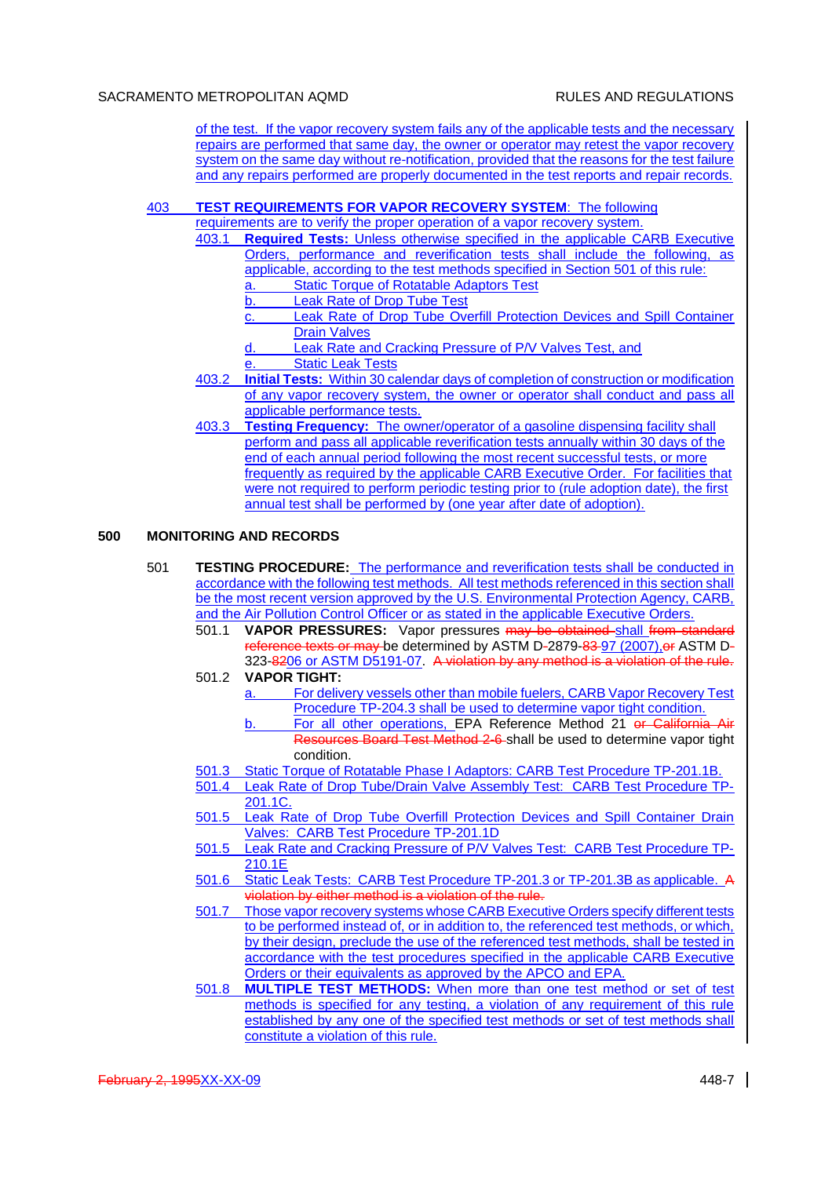of the test. If the vapor recovery system fails any of the applicable tests and the necessary repairs are performed that same day, the owner or operator may retest the vapor recovery system on the same day without re-notification, provided that the reasons for the test failure and any repairs performed are properly documented in the test reports and repair records.

## 403 **TEST REQUIREMENTS FOR VAPOR RECOVERY SYSTEM**: The following

- requirements are to verify the proper operation of a vapor recovery system.
- 403.1 **Required Tests:** Unless otherwise specified in the applicable CARB Executive Orders, performance and reverification tests shall include the following, as applicable, according to the test methods specified in Section 501 of this rule: **Static Torque of Rotatable Adaptors Test** 
	- b. Leak Rate of Drop Tube Test
	- c. Leak Rate of Drop Tube Overfill Protection Devices and Spill Container Drain Valves
	- d. Leak Rate and Cracking Pressure of P/V Valves Test, and
	- **Static Leak Tests**
- 403.2 **Initial Tests:** Within 30 calendar days of completion of construction or modification of any vapor recovery system, the owner or operator shall conduct and pass all applicable performance tests.
- 403.3 **Testing Frequency:** The owner/operator of a gasoline dispensing facility shall perform and pass all applicable reverification tests annually within 30 days of the end of each annual period following the most recent successful tests, or more frequently as required by the applicable CARB Executive Order. For facilities that were not required to perform periodic testing prior to (rule adoption date), the first annual test shall be performed by (one year after date of adoption).

## **500 MONITORING AND RECORDS**

- 501 **TESTING PROCEDURE:** The performance and reverification tests shall be conducted in accordance with the following test methods. All test methods referenced in this section shall be the most recent version approved by the U.S. Environmental Protection Agency, CARB, and the Air Pollution Control Officer or as stated in the applicable Executive Orders.
	- 501.1 **VAPOR PRESSURES:** Vapor pressures may be obtained shall from standard reference texts or may be determined by ASTM D-2879-83-97 (2007), or ASTM D-323-8206 or ASTM D5191-07. A violation by any method is a violation of the rule.
	- 501.2 **VAPOR TIGHT:**
		- a. For delivery vessels other than mobile fuelers, CARB Vapor Recovery Test Procedure TP-204.3 shall be used to determine vapor tight condition.
		- b. For all other operations, EPA Reference Method 21 or California Resources Board Test Method 2-6 shall be used to determine vapor tight condition.
	- 501.3 Static Torque of Rotatable Phase I Adaptors: CARB Test Procedure TP-201.1B.
	- 501.4 Leak Rate of Drop Tube/Drain Valve Assembly Test: CARB Test Procedure TP-201.1C.
	- 501.5 Leak Rate of Drop Tube Overfill Protection Devices and Spill Container Drain Valves: CARB Test Procedure TP-201.1D
	- 501.5 Leak Rate and Cracking Pressure of P/V Valves Test: CARB Test Procedure TP-210.1E
	- 501.6 Static Leak Tests: CARB Test Procedure TP-201.3 or TP-201.3B as applicable. A violation by either method is a violation of the rule.
	- 501.7 Those vapor recovery systems whose CARB Executive Orders specify different tests to be performed instead of, or in addition to, the referenced test methods, or which, by their design, preclude the use of the referenced test methods, shall be tested in accordance with the test procedures specified in the applicable CARB Executive Orders or their equivalents as approved by the APCO and EPA.
	- 501.8 **MULTIPLE TEST METHODS:** When more than one test method or set of test methods is specified for any testing, a violation of any requirement of this rule established by any one of the specified test methods or set of test methods shall constitute a violation of this rule.